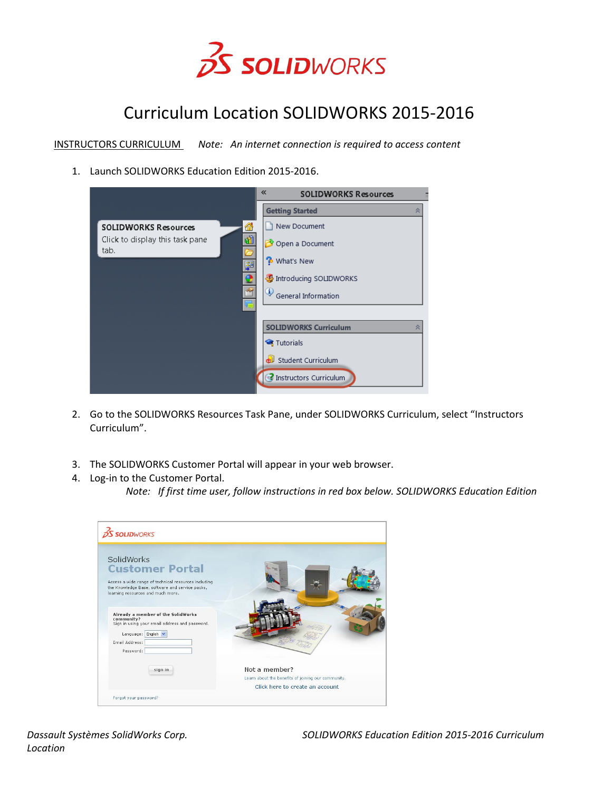

## Curriculum Location SOLIDWORKS 2015-2016

INSTRUCTORS CURRICULUM *Note: An internet connection is required to access content*

1. Launch SOLIDWORKS Education Edition 2015-2016.

|                                              | 《<br><b>SOLIDWORKS Resources</b>  |
|----------------------------------------------|-----------------------------------|
|                                              | <b>Getting Started</b><br>슷       |
| ⋒<br><b>SOLIDWORKS Resources</b>             | New Document                      |
| 圃<br>Click to display this task pane<br>tab. | Open a Document                   |
| 顨                                            | What's New                        |
|                                              | Introducing SOLIDWORKS            |
| $\mathbb{A}$                                 | General Information               |
|                                              |                                   |
|                                              | <b>SOLIDWORKS Curriculum</b><br>슷 |
|                                              | Tutorials                         |
|                                              | Student Curriculum                |
|                                              | Instructors Curriculum            |

- 2. Go to the SOLIDWORKS Resources Task Pane, under SOLIDWORKS Curriculum, select "Instructors Curriculum".
- 3. The SOLIDWORKS Customer Portal will appear in your web browser.
- 4. Log-in to the Customer Portal.

*Note: If first time user, follow instructions in red box below. SOLIDWORKS Education Edition* 

| Not a member?<br>Learn about the benefits of joining our community.<br>Click here to create an account |
|--------------------------------------------------------------------------------------------------------|
|                                                                                                        |

*Location*

*Dassault Systèmes SolidWorks Corp. SOLIDWORKS Education Edition 2015-2016 Curriculum*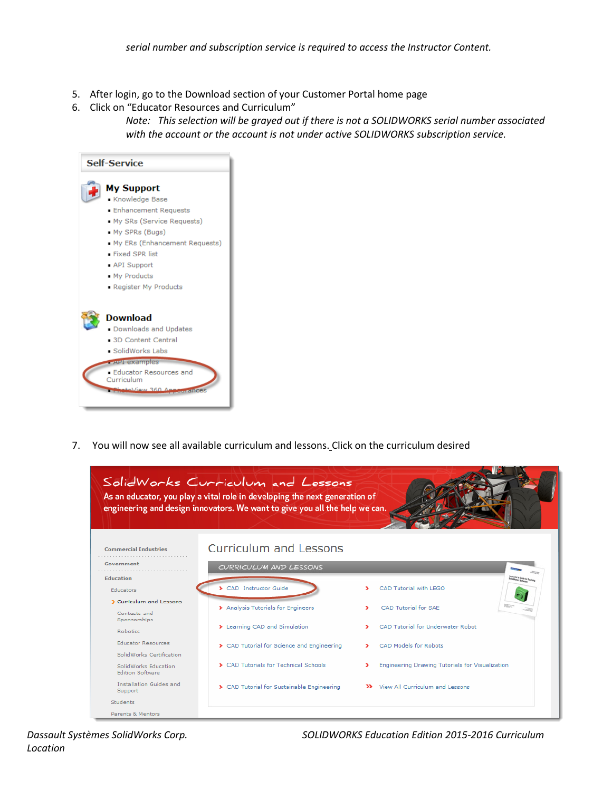- 5. After login, go to the Download section of your Customer Portal home page
- 6. Click on "Educator Resources and Curriculum"

*Note: This selection will be grayed out if there is not a SOLIDWORKS serial number associated with the account or the account is not under active SOLIDWORKS subscription service.*



7. You will now see all available curriculum and lessons. Click on the curriculum desired



*Location*

*Dassault Systèmes SolidWorks Corp. SOLIDWORKS Education Edition 2015-2016 Curriculum*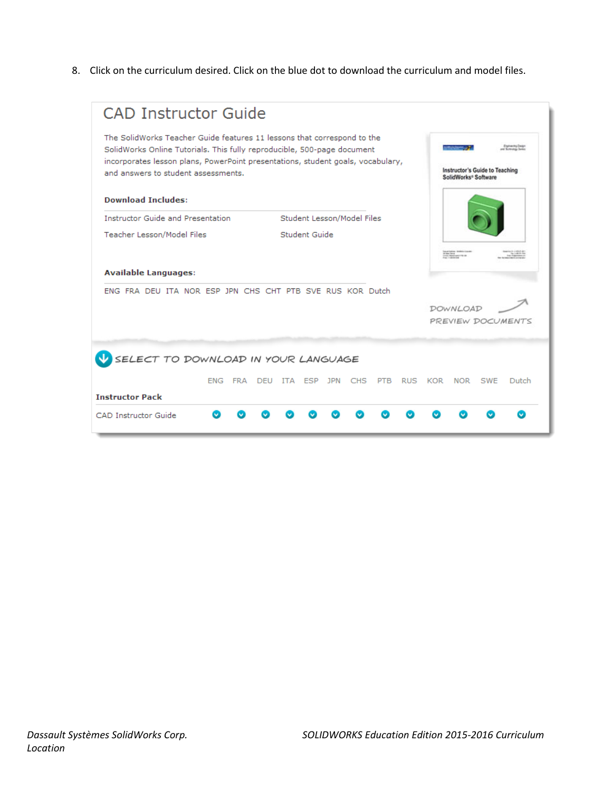8. Click on the curriculum desired. Click on the blue dot to download the curriculum and model files.

| <b>Download Includes:</b><br>Student Lesson/Model Files<br><b>Instructor Guide and Presentation</b><br>Student Guide<br><b>Teacher Lesson/Model Files</b><br><b>Available Languages:</b><br>ENG FRA DEU ITA NOR ESP JPN CHS CHT PTB SVE RUS KOR Dutch<br><b>DOWNLOAD</b><br>PREVIEW DOCUMENTS<br>SELECT TO DOWNLOAD IN YOUR LANGUAGE<br>1PN<br><b>CHS</b><br>RUS KOR<br><b>NOR</b><br>SWF<br>FNG FRA<br>DEU<br>ITA ESP<br><b>PTB</b><br>Dutch<br><b>Instructor Pack</b> | The SolidWorks Teacher Guide features 11 lessons that correspond to the<br>SolidWorks Online Tutorials. This fully reproducible, 500-page document<br>incorporates lesson plans, PowerPoint presentations, student goals, vocabulary,<br>and answers to student assessments. |  |  |  |  |  | Instructor's Guide to Teaching<br>SolidWorks <sup>®</sup> Software |  |
|-------------------------------------------------------------------------------------------------------------------------------------------------------------------------------------------------------------------------------------------------------------------------------------------------------------------------------------------------------------------------------------------------------------------------------------------------------------------------|------------------------------------------------------------------------------------------------------------------------------------------------------------------------------------------------------------------------------------------------------------------------------|--|--|--|--|--|--------------------------------------------------------------------|--|
|                                                                                                                                                                                                                                                                                                                                                                                                                                                                         |                                                                                                                                                                                                                                                                              |  |  |  |  |  |                                                                    |  |
|                                                                                                                                                                                                                                                                                                                                                                                                                                                                         |                                                                                                                                                                                                                                                                              |  |  |  |  |  |                                                                    |  |
|                                                                                                                                                                                                                                                                                                                                                                                                                                                                         |                                                                                                                                                                                                                                                                              |  |  |  |  |  |                                                                    |  |
|                                                                                                                                                                                                                                                                                                                                                                                                                                                                         |                                                                                                                                                                                                                                                                              |  |  |  |  |  |                                                                    |  |
|                                                                                                                                                                                                                                                                                                                                                                                                                                                                         |                                                                                                                                                                                                                                                                              |  |  |  |  |  |                                                                    |  |
|                                                                                                                                                                                                                                                                                                                                                                                                                                                                         |                                                                                                                                                                                                                                                                              |  |  |  |  |  |                                                                    |  |
|                                                                                                                                                                                                                                                                                                                                                                                                                                                                         |                                                                                                                                                                                                                                                                              |  |  |  |  |  |                                                                    |  |
|                                                                                                                                                                                                                                                                                                                                                                                                                                                                         |                                                                                                                                                                                                                                                                              |  |  |  |  |  |                                                                    |  |
|                                                                                                                                                                                                                                                                                                                                                                                                                                                                         |                                                                                                                                                                                                                                                                              |  |  |  |  |  |                                                                    |  |